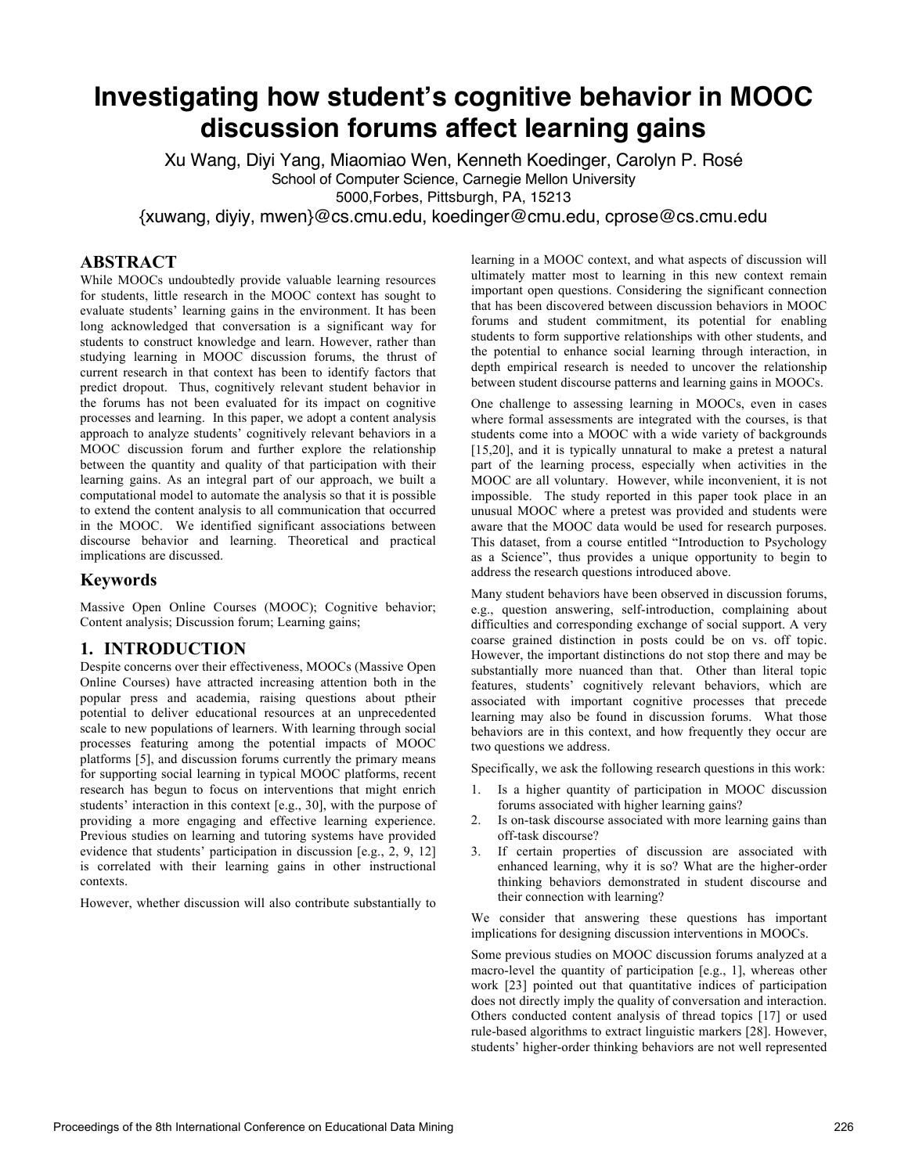# **Investigating how student's cognitive behavior in MOOC discussion forums affect learning gains**

Xu Wang, Diyi Yang, Miaomiao Wen, Kenneth Koedinger, Carolyn P. Rosé School of Computer Science, Carnegie Mellon University 5000,Forbes, Pittsburgh, PA, 15213

{xuwang, diyiy, mwen}@cs.cmu.edu, koedinger@cmu.edu, cprose@cs.cmu.edu

## **ABSTRACT**

While MOOCs undoubtedly provide valuable learning resources for students, little research in the MOOC context has sought to evaluate students' learning gains in the environment. It has been long acknowledged that conversation is a significant way for students to construct knowledge and learn. However, rather than studying learning in MOOC discussion forums, the thrust of current research in that context has been to identify factors that predict dropout. Thus, cognitively relevant student behavior in the forums has not been evaluated for its impact on cognitive processes and learning. In this paper, we adopt a content analysis approach to analyze students' cognitively relevant behaviors in a MOOC discussion forum and further explore the relationship between the quantity and quality of that participation with their learning gains. As an integral part of our approach, we built a computational model to automate the analysis so that it is possible to extend the content analysis to all communication that occurred in the MOOC. We identified significant associations between discourse behavior and learning. Theoretical and practical implications are discussed.

## **Keywords**

Massive Open Online Courses (MOOC); Cognitive behavior; Content analysis; Discussion forum; Learning gains;

## **1. INTRODUCTION**

Despite concerns over their effectiveness, MOOCs (Massive Open Online Courses) have attracted increasing attention both in the popular press and academia, raising questions about ptheir potential to deliver educational resources at an unprecedented scale to new populations of learners. With learning through social processes featuring among the potential impacts of MOOC platforms [5], and discussion forums currently the primary means for supporting social learning in typical MOOC platforms, recent research has begun to focus on interventions that might enrich students' interaction in this context [e.g., 30], with the purpose of providing a more engaging and effective learning experience. Previous studies on learning and tutoring systems have provided evidence that students' participation in discussion [e.g., 2, 9, 12] is correlated with their learning gains in other instructional contexts.

However, whether discussion will also contribute substantially to

learning in a MOOC context, and what aspects of discussion will ultimately matter most to learning in this new context remain important open questions. Considering the significant connection that has been discovered between discussion behaviors in MOOC forums and student commitment, its potential for enabling students to form supportive relationships with other students, and the potential to enhance social learning through interaction, in depth empirical research is needed to uncover the relationship between student discourse patterns and learning gains in MOOCs.

One challenge to assessing learning in MOOCs, even in cases where formal assessments are integrated with the courses, is that students come into a MOOC with a wide variety of backgrounds [15,20], and it is typically unnatural to make a pretest a natural part of the learning process, especially when activities in the MOOC are all voluntary. However, while inconvenient, it is not impossible. The study reported in this paper took place in an unusual MOOC where a pretest was provided and students were aware that the MOOC data would be used for research purposes. This dataset, from a course entitled "Introduction to Psychology as a Science", thus provides a unique opportunity to begin to address the research questions introduced above.

Many student behaviors have been observed in discussion forums, e.g., question answering, self-introduction, complaining about difficulties and corresponding exchange of social support. A very coarse grained distinction in posts could be on vs. off topic. However, the important distinctions do not stop there and may be substantially more nuanced than that. Other than literal topic features, students' cognitively relevant behaviors, which are associated with important cognitive processes that precede learning may also be found in discussion forums. What those behaviors are in this context, and how frequently they occur are two questions we address.

Specifically, we ask the following research questions in this work:

- 1. Is a higher quantity of participation in MOOC discussion forums associated with higher learning gains?
- 2. Is on-task discourse associated with more learning gains than off-task discourse?
- 3. If certain properties of discussion are associated with enhanced learning, why it is so? What are the higher-order thinking behaviors demonstrated in student discourse and their connection with learning?

We consider that answering these questions has important implications for designing discussion interventions in MOOCs.

Some previous studies on MOOC discussion forums analyzed at a macro-level the quantity of participation [e.g., 1], whereas other work [23] pointed out that quantitative indices of participation does not directly imply the quality of conversation and interaction. Others conducted content analysis of thread topics [17] or used rule-based algorithms to extract linguistic markers [28]. However, students' higher-order thinking behaviors are not well represented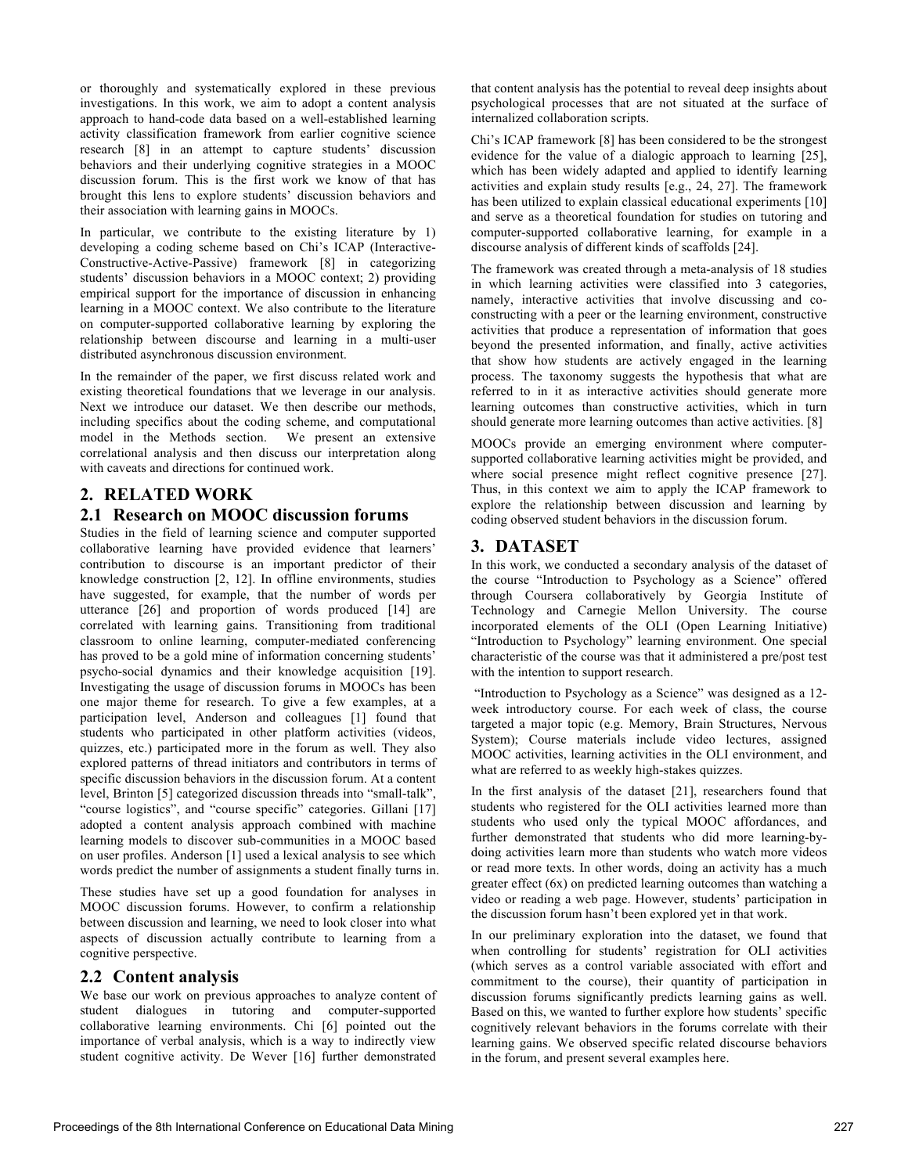or thoroughly and systematically explored in these previous investigations. In this work, we aim to adopt a content analysis approach to hand-code data based on a well-established learning activity classification framework from earlier cognitive science research [8] in an attempt to capture students' discussion behaviors and their underlying cognitive strategies in a MOOC discussion forum. This is the first work we know of that has brought this lens to explore students' discussion behaviors and their association with learning gains in MOOCs.

In particular, we contribute to the existing literature by 1) developing a coding scheme based on Chi's ICAP (Interactive-Constructive-Active-Passive) framework [8] in categorizing students' discussion behaviors in a MOOC context; 2) providing empirical support for the importance of discussion in enhancing learning in a MOOC context. We also contribute to the literature on computer-supported collaborative learning by exploring the relationship between discourse and learning in a multi-user distributed asynchronous discussion environment.

In the remainder of the paper, we first discuss related work and existing theoretical foundations that we leverage in our analysis. Next we introduce our dataset. We then describe our methods, including specifics about the coding scheme, and computational model in the Methods section. We present an extensive correlational analysis and then discuss our interpretation along with caveats and directions for continued work.

# **2. RELATED WORK**

# **2.1 Research on MOOC discussion forums**

Studies in the field of learning science and computer supported collaborative learning have provided evidence that learners' contribution to discourse is an important predictor of their knowledge construction [2, 12]. In offline environments, studies have suggested, for example, that the number of words per utterance [26] and proportion of words produced [14] are correlated with learning gains. Transitioning from traditional classroom to online learning, computer-mediated conferencing has proved to be a gold mine of information concerning students' psycho-social dynamics and their knowledge acquisition [19]. Investigating the usage of discussion forums in MOOCs has been one major theme for research. To give a few examples, at a participation level, Anderson and colleagues [1] found that students who participated in other platform activities (videos, quizzes, etc.) participated more in the forum as well. They also explored patterns of thread initiators and contributors in terms of specific discussion behaviors in the discussion forum. At a content level, Brinton [5] categorized discussion threads into "small-talk", "course logistics", and "course specific" categories. Gillani [17] adopted a content analysis approach combined with machine learning models to discover sub-communities in a MOOC based on user profiles. Anderson [1] used a lexical analysis to see which words predict the number of assignments a student finally turns in.

These studies have set up a good foundation for analyses in MOOC discussion forums. However, to confirm a relationship between discussion and learning, we need to look closer into what aspects of discussion actually contribute to learning from a cognitive perspective.

#### **2.2 Content analysis**

We base our work on previous approaches to analyze content of student dialogues in tutoring and computer-supported collaborative learning environments. Chi [6] pointed out the importance of verbal analysis, which is a way to indirectly view student cognitive activity. De Wever [16] further demonstrated

that content analysis has the potential to reveal deep insights about psychological processes that are not situated at the surface of internalized collaboration scripts.

Chi's ICAP framework [8] has been considered to be the strongest evidence for the value of a dialogic approach to learning [25], which has been widely adapted and applied to identify learning activities and explain study results [e.g., 24, 27]. The framework has been utilized to explain classical educational experiments [10] and serve as a theoretical foundation for studies on tutoring and computer-supported collaborative learning, for example in a discourse analysis of different kinds of scaffolds [24].

The framework was created through a meta-analysis of 18 studies in which learning activities were classified into 3 categories, namely, interactive activities that involve discussing and coconstructing with a peer or the learning environment, constructive activities that produce a representation of information that goes beyond the presented information, and finally, active activities that show how students are actively engaged in the learning process. The taxonomy suggests the hypothesis that what are referred to in it as interactive activities should generate more learning outcomes than constructive activities, which in turn should generate more learning outcomes than active activities. [8]

MOOCs provide an emerging environment where computersupported collaborative learning activities might be provided, and where social presence might reflect cognitive presence [27]. Thus, in this context we aim to apply the ICAP framework to explore the relationship between discussion and learning by coding observed student behaviors in the discussion forum.

# **3. DATASET**

In this work, we conducted a secondary analysis of the dataset of the course "Introduction to Psychology as a Science" offered through Coursera collaboratively by Georgia Institute of Technology and Carnegie Mellon University. The course incorporated elements of the OLI (Open Learning Initiative) "Introduction to Psychology" learning environment. One special characteristic of the course was that it administered a pre/post test with the intention to support research.

"Introduction to Psychology as a Science" was designed as a 12 week introductory course. For each week of class, the course targeted a major topic (e.g. Memory, Brain Structures, Nervous System); Course materials include video lectures, assigned MOOC activities, learning activities in the OLI environment, and what are referred to as weekly high-stakes quizzes.

In the first analysis of the dataset [21], researchers found that students who registered for the OLI activities learned more than students who used only the typical MOOC affordances, and further demonstrated that students who did more learning-bydoing activities learn more than students who watch more videos or read more texts. In other words, doing an activity has a much greater effect (6x) on predicted learning outcomes than watching a video or reading a web page. However, students' participation in the discussion forum hasn't been explored yet in that work.

In our preliminary exploration into the dataset, we found that when controlling for students' registration for OLI activities (which serves as a control variable associated with effort and commitment to the course), their quantity of participation in discussion forums significantly predicts learning gains as well. Based on this, we wanted to further explore how students' specific cognitively relevant behaviors in the forums correlate with their learning gains. We observed specific related discourse behaviors in the forum, and present several examples here.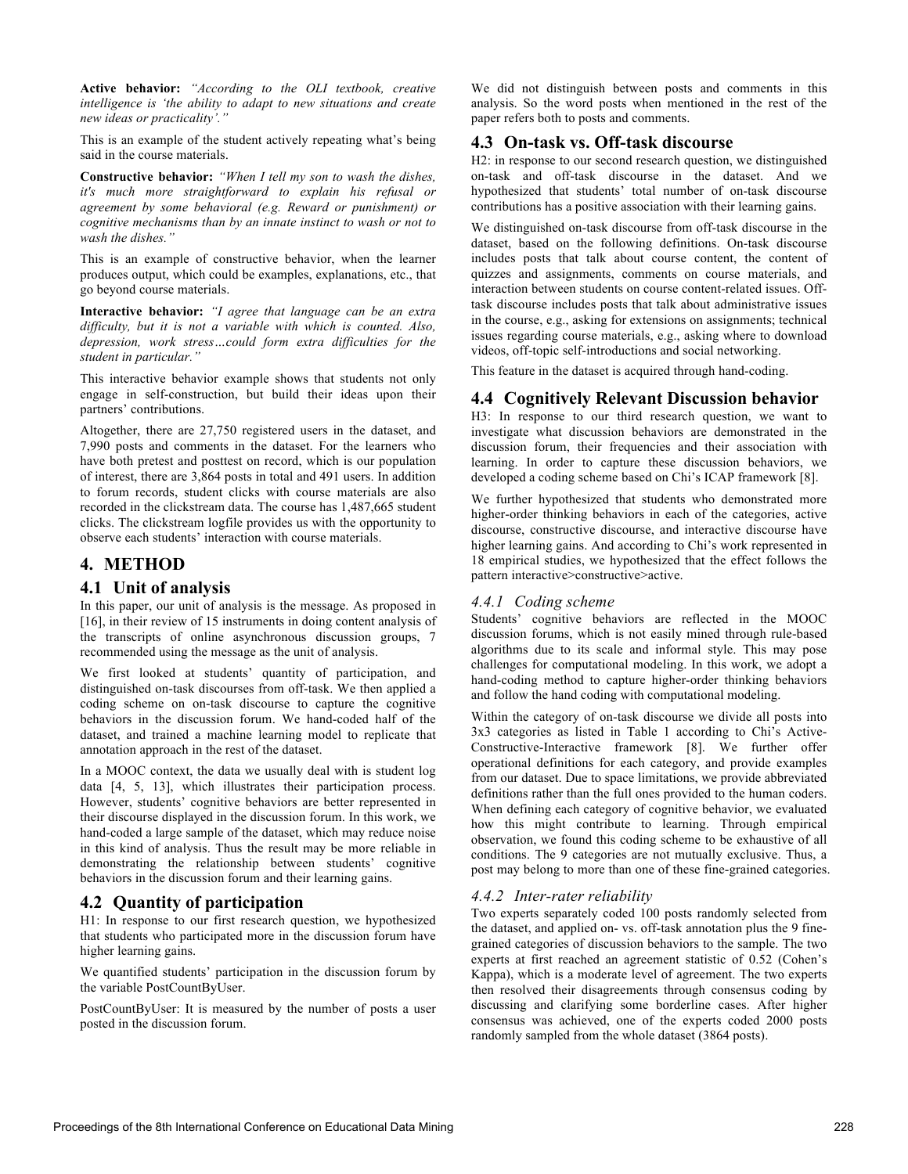**Active behavior:** *"According to the OLI textbook, creative intelligence is 'the ability to adapt to new situations and create new ideas or practicality'."*

This is an example of the student actively repeating what's being said in the course materials.

**Constructive behavior:** *"When I tell my son to wash the dishes, it's much more straightforward to explain his refusal or agreement by some behavioral (e.g. Reward or punishment) or cognitive mechanisms than by an innate instinct to wash or not to wash the dishes."*

This is an example of constructive behavior, when the learner produces output, which could be examples, explanations, etc., that go beyond course materials.

**Interactive behavior:** *"I agree that language can be an extra difficulty, but it is not a variable with which is counted. Also, depression, work stress…could form extra difficulties for the student in particular."*

This interactive behavior example shows that students not only engage in self-construction, but build their ideas upon their partners' contributions.

Altogether, there are 27,750 registered users in the dataset, and 7,990 posts and comments in the dataset. For the learners who have both pretest and posttest on record, which is our population of interest, there are 3,864 posts in total and 491 users. In addition to forum records, student clicks with course materials are also recorded in the clickstream data. The course has 1,487,665 student clicks. The clickstream logfile provides us with the opportunity to observe each students' interaction with course materials.

# **4. METHOD**

## **4.1 Unit of analysis**

In this paper, our unit of analysis is the message. As proposed in [16], in their review of 15 instruments in doing content analysis of the transcripts of online asynchronous discussion groups, 7 recommended using the message as the unit of analysis.

We first looked at students' quantity of participation, and distinguished on-task discourses from off-task. We then applied a coding scheme on on-task discourse to capture the cognitive behaviors in the discussion forum. We hand-coded half of the dataset, and trained a machine learning model to replicate that annotation approach in the rest of the dataset.

In a MOOC context, the data we usually deal with is student log data [4, 5, 13], which illustrates their participation process. However, students' cognitive behaviors are better represented in their discourse displayed in the discussion forum. In this work, we hand-coded a large sample of the dataset, which may reduce noise in this kind of analysis. Thus the result may be more reliable in demonstrating the relationship between students' cognitive behaviors in the discussion forum and their learning gains.

## **4.2 Quantity of participation**

H1: In response to our first research question, we hypothesized that students who participated more in the discussion forum have higher learning gains.

We quantified students' participation in the discussion forum by the variable PostCountByUser.

PostCountByUser: It is measured by the number of posts a user posted in the discussion forum.

We did not distinguish between posts and comments in this analysis. So the word posts when mentioned in the rest of the paper refers both to posts and comments.

#### **4.3 On-task vs. Off-task discourse**

H2: in response to our second research question, we distinguished on-task and off-task discourse in the dataset. And we hypothesized that students' total number of on-task discourse contributions has a positive association with their learning gains.

We distinguished on-task discourse from off-task discourse in the dataset, based on the following definitions. On-task discourse includes posts that talk about course content, the content of quizzes and assignments, comments on course materials, and interaction between students on course content-related issues. Offtask discourse includes posts that talk about administrative issues in the course, e.g., asking for extensions on assignments; technical issues regarding course materials, e.g., asking where to download videos, off-topic self-introductions and social networking.

This feature in the dataset is acquired through hand-coding.

# **4.4 Cognitively Relevant Discussion behavior**

H3: In response to our third research question, we want to investigate what discussion behaviors are demonstrated in the discussion forum, their frequencies and their association with learning. In order to capture these discussion behaviors, we developed a coding scheme based on Chi's ICAP framework [8].

We further hypothesized that students who demonstrated more higher-order thinking behaviors in each of the categories, active discourse, constructive discourse, and interactive discourse have higher learning gains. And according to Chi's work represented in 18 empirical studies, we hypothesized that the effect follows the pattern interactive>constructive>active.

#### *4.4.1 Coding scheme*

Students' cognitive behaviors are reflected in the MOOC discussion forums, which is not easily mined through rule-based algorithms due to its scale and informal style. This may pose challenges for computational modeling. In this work, we adopt a hand-coding method to capture higher-order thinking behaviors and follow the hand coding with computational modeling.

Within the category of on-task discourse we divide all posts into 3x3 categories as listed in Table 1 according to Chi's Active-Constructive-Interactive framework [8]. We further offer operational definitions for each category, and provide examples from our dataset. Due to space limitations, we provide abbreviated definitions rather than the full ones provided to the human coders. When defining each category of cognitive behavior, we evaluated how this might contribute to learning. Through empirical observation, we found this coding scheme to be exhaustive of all conditions. The 9 categories are not mutually exclusive. Thus, a post may belong to more than one of these fine-grained categories.

## *4.4.2 Inter-rater reliability*

Two experts separately coded 100 posts randomly selected from the dataset, and applied on- vs. off-task annotation plus the 9 finegrained categories of discussion behaviors to the sample. The two experts at first reached an agreement statistic of 0.52 (Cohen's Kappa), which is a moderate level of agreement. The two experts then resolved their disagreements through consensus coding by discussing and clarifying some borderline cases. After higher consensus was achieved, one of the experts coded 2000 posts randomly sampled from the whole dataset (3864 posts).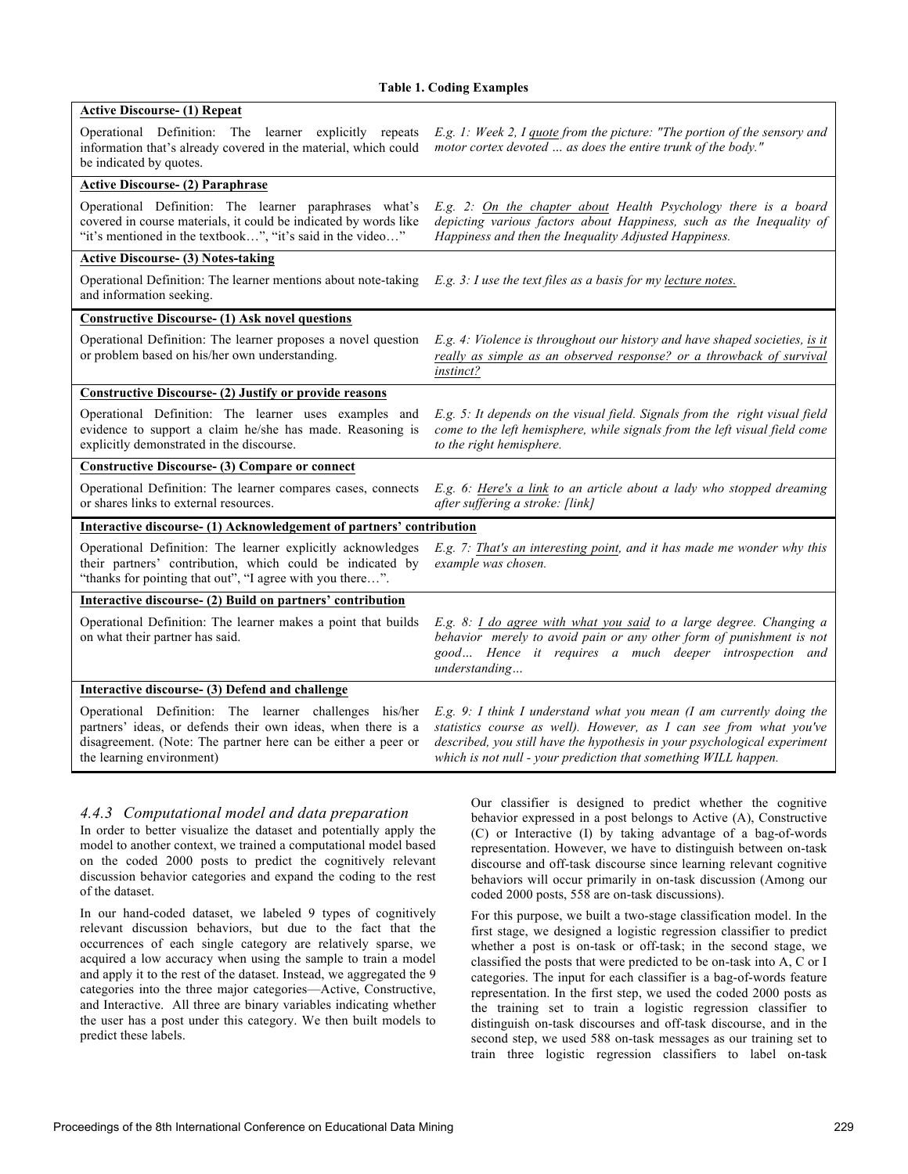| <b>Active Discourse- (1) Repeat</b>                                                                                                                                                                                  |                                                                                                                                                                                                                                                                                            |  |  |  |
|----------------------------------------------------------------------------------------------------------------------------------------------------------------------------------------------------------------------|--------------------------------------------------------------------------------------------------------------------------------------------------------------------------------------------------------------------------------------------------------------------------------------------|--|--|--|
| Operational Definition: The learner explicitly repeats<br>information that's already covered in the material, which could<br>be indicated by quotes.                                                                 | E.g. 1: Week 2, I quote from the picture: "The portion of the sensory and<br>motor cortex devoted  as does the entire trunk of the body."                                                                                                                                                  |  |  |  |
| <b>Active Discourse- (2) Paraphrase</b>                                                                                                                                                                              |                                                                                                                                                                                                                                                                                            |  |  |  |
| Operational Definition: The learner paraphrases what's<br>covered in course materials, it could be indicated by words like<br>"it's mentioned in the textbook", "it's said in the video"                             | E.g. 2: On the chapter about Health Psychology there is a board<br>depicting various factors about Happiness, such as the Inequality of<br>Happiness and then the Inequality Adjusted Happiness.                                                                                           |  |  |  |
| <b>Active Discourse- (3) Notes-taking</b>                                                                                                                                                                            |                                                                                                                                                                                                                                                                                            |  |  |  |
| Operational Definition: The learner mentions about note-taking<br>and information seeking.                                                                                                                           | E.g. 3: I use the text files as a basis for my lecture notes.                                                                                                                                                                                                                              |  |  |  |
| <b>Constructive Discourse- (1) Ask novel questions</b>                                                                                                                                                               |                                                                                                                                                                                                                                                                                            |  |  |  |
| Operational Definition: The learner proposes a novel question<br>or problem based on his/her own understanding.                                                                                                      | E.g. 4: Violence is throughout our history and have shaped societies, is it<br>really as simple as an observed response? or a throwback of survival<br>instinct?                                                                                                                           |  |  |  |
| Constructive Discourse- (2) Justify or provide reasons                                                                                                                                                               |                                                                                                                                                                                                                                                                                            |  |  |  |
| Operational Definition: The learner uses examples and<br>evidence to support a claim he/she has made. Reasoning is<br>explicitly demonstrated in the discourse.                                                      | E.g. 5: It depends on the visual field. Signals from the right visual field<br>come to the left hemisphere, while signals from the left visual field come<br>to the right hemisphere.                                                                                                      |  |  |  |
| <b>Constructive Discourse- (3) Compare or connect</b>                                                                                                                                                                |                                                                                                                                                                                                                                                                                            |  |  |  |
| Operational Definition: The learner compares cases, connects<br>or shares links to external resources.                                                                                                               | E.g. 6: Here's a link to an article about a lady who stopped dreaming<br>after suffering a stroke: [link]                                                                                                                                                                                  |  |  |  |
| Interactive discourse- (1) Acknowledgement of partners' contribution                                                                                                                                                 |                                                                                                                                                                                                                                                                                            |  |  |  |
| Operational Definition: The learner explicitly acknowledges<br>their partners' contribution, which could be indicated by<br>"thanks for pointing that out", "I agree with you there".                                | E.g. 7: That's an interesting point, and it has made me wonder why this<br>example was chosen.                                                                                                                                                                                             |  |  |  |
| Interactive discourse- (2) Build on partners' contribution                                                                                                                                                           |                                                                                                                                                                                                                                                                                            |  |  |  |
| Operational Definition: The learner makes a point that builds<br>on what their partner has said.                                                                                                                     | E.g. 8: I do agree with what you said to a large degree. Changing a<br>behavior merely to avoid pain or any other form of punishment is not<br>good Hence it requires a much deeper introspection and<br>understanding                                                                     |  |  |  |
| Interactive discourse- (3) Defend and challenge                                                                                                                                                                      |                                                                                                                                                                                                                                                                                            |  |  |  |
| Operational Definition: The learner challenges his/her<br>partners' ideas, or defends their own ideas, when there is a<br>disagreement. (Note: The partner here can be either a peer or<br>the learning environment) | E.g. 9: I think I understand what you mean (I am currently doing the<br>statistics course as well). However, as I can see from what you've<br>described, you still have the hypothesis in your psychological experiment<br>which is not null - your prediction that something WILL happen. |  |  |  |

#### *4.4.3 Computational model and data preparation*

In order to better visualize the dataset and potentially apply the model to another context, we trained a computational model based on the coded 2000 posts to predict the cognitively relevant discussion behavior categories and expand the coding to the rest of the dataset.

In our hand-coded dataset, we labeled 9 types of cognitively relevant discussion behaviors, but due to the fact that the occurrences of each single category are relatively sparse, we acquired a low accuracy when using the sample to train a model and apply it to the rest of the dataset. Instead, we aggregated the 9 categories into the three major categories—Active, Constructive, and Interactive. All three are binary variables indicating whether the user has a post under this category. We then built models to predict these labels.

Our classifier is designed to predict whether the cognitive behavior expressed in a post belongs to Active (A), Constructive (C) or Interactive (I) by taking advantage of a bag-of-words representation. However, we have to distinguish between on-task discourse and off-task discourse since learning relevant cognitive behaviors will occur primarily in on-task discussion (Among our coded 2000 posts, 558 are on-task discussions).

For this purpose, we built a two-stage classification model. In the first stage, we designed a logistic regression classifier to predict whether a post is on-task or off-task; in the second stage, we classified the posts that were predicted to be on-task into A, C or I categories. The input for each classifier is a bag-of-words feature representation. In the first step, we used the coded 2000 posts as the training set to train a logistic regression classifier to distinguish on-task discourses and off-task discourse, and in the second step, we used 588 on-task messages as our training set to train three logistic regression classifiers to label on-task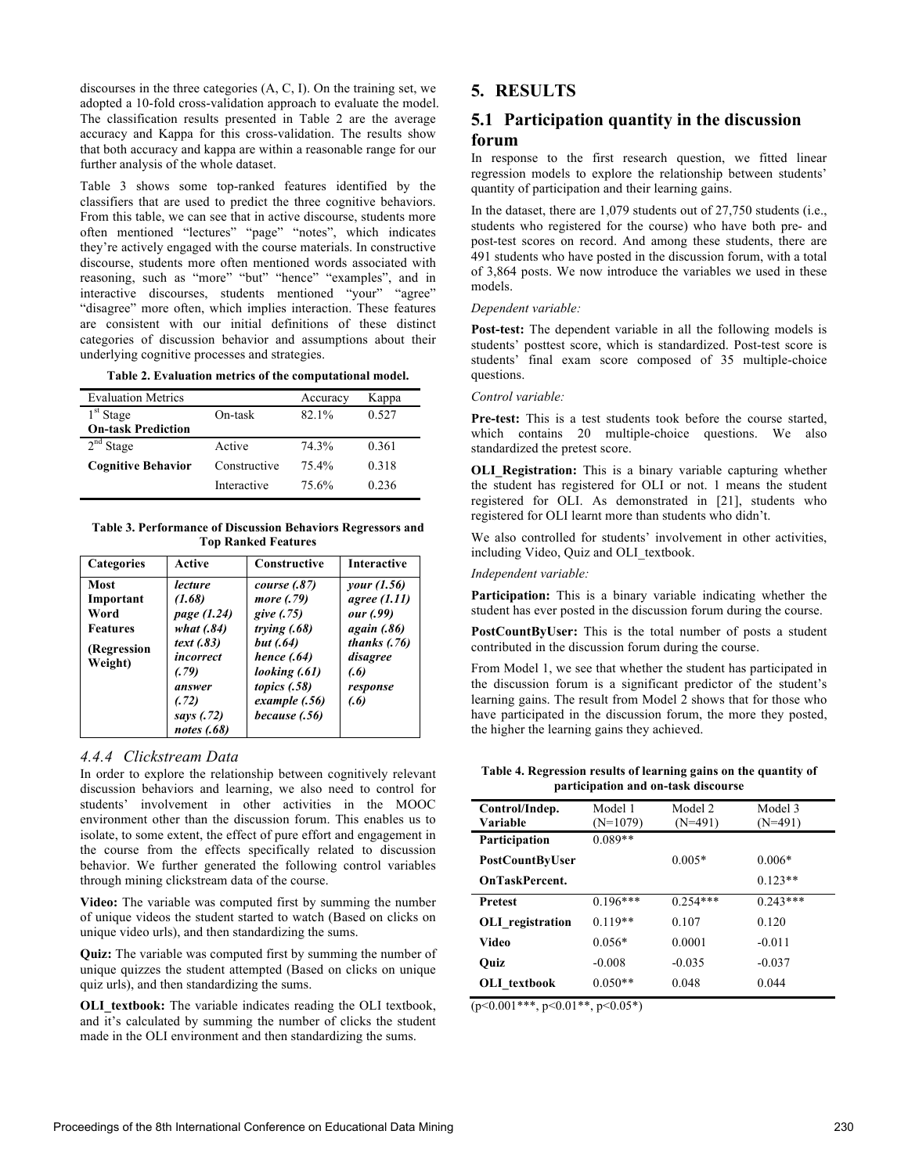discourses in the three categories (A, C, I). On the training set, we adopted a 10-fold cross-validation approach to evaluate the model. The classification results presented in Table 2 are the average accuracy and Kappa for this cross-validation. The results show that both accuracy and kappa are within a reasonable range for our further analysis of the whole dataset.

Table 3 shows some top-ranked features identified by the classifiers that are used to predict the three cognitive behaviors. From this table, we can see that in active discourse, students more often mentioned "lectures" "page" "notes", which indicates they're actively engaged with the course materials. In constructive discourse, students more often mentioned words associated with reasoning, such as "more" "but" "hence" "examples", and in interactive discourses, students mentioned "your" "agree" "disagree" more often, which implies interaction. These features are consistent with our initial definitions of these distinct categories of discussion behavior and assumptions about their underlying cognitive processes and strategies.

| Table 2. Evaluation metrics of the computational model. |  |  |  |
|---------------------------------------------------------|--|--|--|
|                                                         |  |  |  |

| <b>Evaluation Metrics</b> |              | Accuracy | Kappa |
|---------------------------|--------------|----------|-------|
| 1 <sup>st</sup> Stage     | On-task      | 82.1%    | 0.527 |
| <b>On-task Prediction</b> |              |          |       |
| $2nd$ Stage               | Active       | 74.3%    | 0.361 |
| <b>Cognitive Behavior</b> | Constructive | 75.4%    | 0.318 |
|                           | Interactive  | 75.6%    | 0.236 |

**Table 3. Performance of Discussion Behaviors Regressors and Top Ranked Features**

| <b>Categories</b>                                                      | Active                                                                                                                               | <b>Constructive</b>                                                                                                                                                  | <b>Interactive</b>                                                                                                                     |
|------------------------------------------------------------------------|--------------------------------------------------------------------------------------------------------------------------------------|----------------------------------------------------------------------------------------------------------------------------------------------------------------------|----------------------------------------------------------------------------------------------------------------------------------------|
| Most<br>Important<br>Word<br><b>Features</b><br>(Regression<br>Weight) | lecture<br>(1.68)<br>page (1.24)<br>what $(.84)$<br>text(0.83)<br>incorrect<br>(.79)<br>answer<br>(.72)<br>says (.72)<br>notes (.68) | <i>course</i> (.87)<br>more (.79)<br>give (.75)<br>trying $(.68)$<br>but (.64)<br>hence $(.64)$<br>looking (.61)<br>topics $(.58)$<br>example (.56)<br>because (.56) | <i>vour</i> (1.56)<br><i>agree</i> (1.11)<br>our (.99)<br><i>again</i> (.86)<br>thanks $(.76)$<br>disagree<br>(.6)<br>response<br>(.6) |

#### *4.4.4 Clickstream Data*

In order to explore the relationship between cognitively relevant discussion behaviors and learning, we also need to control for students' involvement in other activities in the MOOC environment other than the discussion forum. This enables us to isolate, to some extent, the effect of pure effort and engagement in the course from the effects specifically related to discussion behavior. We further generated the following control variables through mining clickstream data of the course.

**Video:** The variable was computed first by summing the number of unique videos the student started to watch (Based on clicks on unique video urls), and then standardizing the sums.

**Quiz:** The variable was computed first by summing the number of unique quizzes the student attempted (Based on clicks on unique quiz urls), and then standardizing the sums.

**OLI** textbook: The variable indicates reading the OLI textbook, and it's calculated by summing the number of clicks the student made in the OLI environment and then standardizing the sums.

# **5. RESULTS**

# **5.1 Participation quantity in the discussion forum**

In response to the first research question, we fitted linear regression models to explore the relationship between students' quantity of participation and their learning gains.

In the dataset, there are 1,079 students out of 27,750 students (i.e., students who registered for the course) who have both pre- and post-test scores on record. And among these students, there are 491 students who have posted in the discussion forum, with a total of 3,864 posts. We now introduce the variables we used in these models.

#### *Dependent variable:*

**Post-test:** The dependent variable in all the following models is students' posttest score, which is standardized. Post-test score is students' final exam score composed of 35 multiple-choice questions.

#### *Control variable:*

**Pre-test:** This is a test students took before the course started, which contains 20 multiple-choice questions. We also standardized the pretest score.

**OLI Registration:** This is a binary variable capturing whether the student has registered for OLI or not. 1 means the student registered for OLI. As demonstrated in [21], students who registered for OLI learnt more than students who didn't.

We also controlled for students' involvement in other activities, including Video, Quiz and OLI\_textbook.

#### *Independent variable:*

**Participation:** This is a binary variable indicating whether the student has ever posted in the discussion forum during the course.

**PostCountByUser:** This is the total number of posts a student contributed in the discussion forum during the course.

From Model 1, we see that whether the student has participated in the discussion forum is a significant predictor of the student's learning gains. The result from Model 2 shows that for those who have participated in the discussion forum, the more they posted, the higher the learning gains they achieved.

**Table 4. Regression results of learning gains on the quantity of participation and on-task discourse**

| Control/Indep.          | Model 1    | Model 2    | Model 3    |
|-------------------------|------------|------------|------------|
| Variable                | $(N=1079)$ | $(N=491)$  | $(N=491)$  |
| Participation           | $0.089**$  |            |            |
| PostCountByUser         |            | $0.005*$   | $0.006*$   |
| <b>OnTaskPercent.</b>   |            |            | $0.123**$  |
| <b>Pretest</b>          | $0.196***$ | $0.254***$ | $0.243***$ |
| <b>OLI</b> registration | $0.119**$  | 0.107      | 0.120      |
| Video                   | $0.056*$   | 0.0001     | $-0.011$   |
| Ouiz                    | $-0.008$   | $-0.035$   | $-0.037$   |
| OLI textbook            | $0.050**$  | 0.048      | 0.044      |

 $(p<0.001***, p<0.01**, p<0.05*)$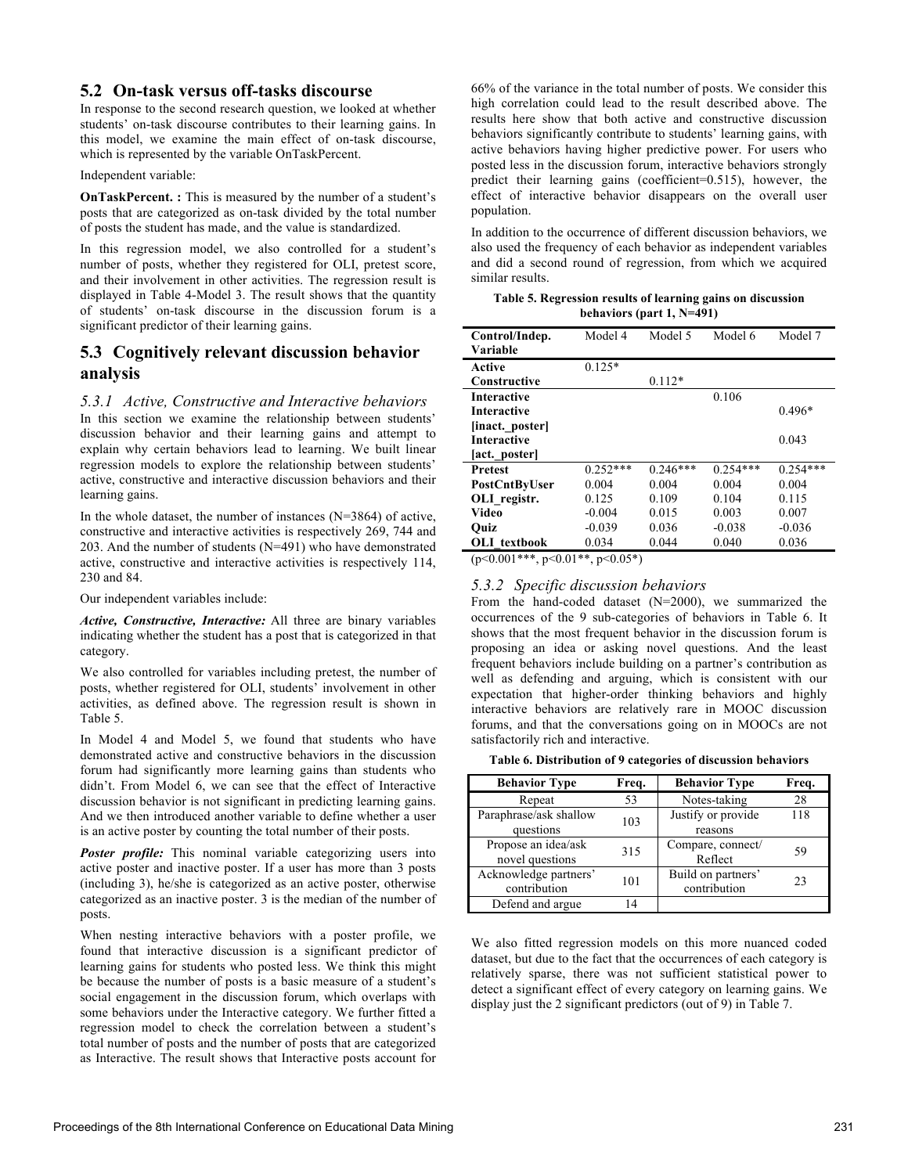## **5.2 On-task versus off-tasks discourse**

In response to the second research question, we looked at whether students' on-task discourse contributes to their learning gains. In this model, we examine the main effect of on-task discourse, which is represented by the variable OnTaskPercent.

Independent variable:

**OnTaskPercent. :** This is measured by the number of a student's posts that are categorized as on-task divided by the total number of posts the student has made, and the value is standardized.

In this regression model, we also controlled for a student's number of posts, whether they registered for OLI, pretest score, and their involvement in other activities. The regression result is displayed in Table 4-Model 3. The result shows that the quantity of students' on-task discourse in the discussion forum is a significant predictor of their learning gains.

# **5.3 Cognitively relevant discussion behavior analysis**

#### *5.3.1 Active, Constructive and Interactive behaviors*

In this section we examine the relationship between students' discussion behavior and their learning gains and attempt to explain why certain behaviors lead to learning. We built linear regression models to explore the relationship between students' active, constructive and interactive discussion behaviors and their learning gains.

In the whole dataset, the number of instances (N=3864) of active, constructive and interactive activities is respectively 269, 744 and 203. And the number of students (N=491) who have demonstrated active, constructive and interactive activities is respectively 114, 230 and 84.

Our independent variables include:

*Active, Constructive, Interactive:* All three are binary variables indicating whether the student has a post that is categorized in that category.

We also controlled for variables including pretest, the number of posts, whether registered for OLI, students' involvement in other activities, as defined above. The regression result is shown in Table 5.

In Model 4 and Model 5, we found that students who have demonstrated active and constructive behaviors in the discussion forum had significantly more learning gains than students who didn't. From Model 6, we can see that the effect of Interactive discussion behavior is not significant in predicting learning gains. And we then introduced another variable to define whether a user is an active poster by counting the total number of their posts.

*Poster profile:* This nominal variable categorizing users into active poster and inactive poster. If a user has more than 3 posts (including 3), he/she is categorized as an active poster, otherwise categorized as an inactive poster. 3 is the median of the number of posts.

When nesting interactive behaviors with a poster profile, we found that interactive discussion is a significant predictor of learning gains for students who posted less. We think this might be because the number of posts is a basic measure of a student's social engagement in the discussion forum, which overlaps with some behaviors under the Interactive category. We further fitted a regression model to check the correlation between a student's total number of posts and the number of posts that are categorized as Interactive. The result shows that Interactive posts account for

66% of the variance in the total number of posts. We consider this high correlation could lead to the result described above. The results here show that both active and constructive discussion behaviors significantly contribute to students' learning gains, with active behaviors having higher predictive power. For users who posted less in the discussion forum, interactive behaviors strongly predict their learning gains (coefficient=0.515), however, the effect of interactive behavior disappears on the overall user population.

In addition to the occurrence of different discussion behaviors, we also used the frequency of each behavior as independent variables and did a second round of regression, from which we acquired similar results.

| Table 5. Regression results of learning gains on discussion |
|-------------------------------------------------------------|
| behaviors (part $1, N=491$ )                                |

| Control/Indep.     | Model 4    | Model 5    | Model 6    | Model 7    |
|--------------------|------------|------------|------------|------------|
| <b>Variable</b>    |            |            |            |            |
|                    |            |            |            |            |
| Active             | $0.125*$   |            |            |            |
| Constructive       |            | $0.112*$   |            |            |
| <b>Interactive</b> |            |            | 0.106      |            |
| <b>Interactive</b> |            |            |            | $0.496*$   |
| [inact. poster]    |            |            |            |            |
| <b>Interactive</b> |            |            |            | 0.043      |
| [act. poster]      |            |            |            |            |
| <b>Pretest</b>     | $0.252***$ | $0.246***$ | $0.254***$ | $0.254***$ |
| PostCntByUser      | 0.004      | 0.004      | 0.004      | 0.004      |
| OLI registr.       | 0.125      | 0.109      | 0.104      | 0.115      |
| Video              | $-0.004$   | 0.015      | 0.003      | 0.007      |
| Ouiz               | $-0.039$   | 0.036      | $-0.038$   | $-0.036$   |
| OLI textbook       | 0.034      | 0.044      | 0.040      | 0.036      |

 $(p < 0.001$ \*\*\*,  $p < 0.01$ \*\*,  $p < 0.05$ \*)

#### *5.3.2 Specific discussion behaviors*

From the hand-coded dataset (N=2000), we summarized the occurrences of the 9 sub-categories of behaviors in Table 6. It shows that the most frequent behavior in the discussion forum is proposing an idea or asking novel questions. And the least frequent behaviors include building on a partner's contribution as well as defending and arguing, which is consistent with our expectation that higher-order thinking behaviors and highly interactive behaviors are relatively rare in MOOC discussion forums, and that the conversations going on in MOOCs are not satisfactorily rich and interactive.

**Table 6. Distribution of 9 categories of discussion behaviors**

| <b>Behavior Type</b>                   | Freq. | <b>Behavior Type</b>               | Freq. |
|----------------------------------------|-------|------------------------------------|-------|
| Repeat                                 | 53    | Notes-taking                       | 28    |
| Paraphrase/ask shallow<br>questions    | 103   | Justify or provide<br>reasons      | 118   |
| Propose an idea/ask<br>novel questions | 315   | Compare, connect/<br>Reflect       | 59    |
| Acknowledge partners'<br>contribution  | 101   | Build on partners'<br>contribution | 23    |
| Defend and argue                       | 14    |                                    |       |

We also fitted regression models on this more nuanced coded dataset, but due to the fact that the occurrences of each category is relatively sparse, there was not sufficient statistical power to detect a significant effect of every category on learning gains. We display just the 2 significant predictors (out of 9) in Table 7.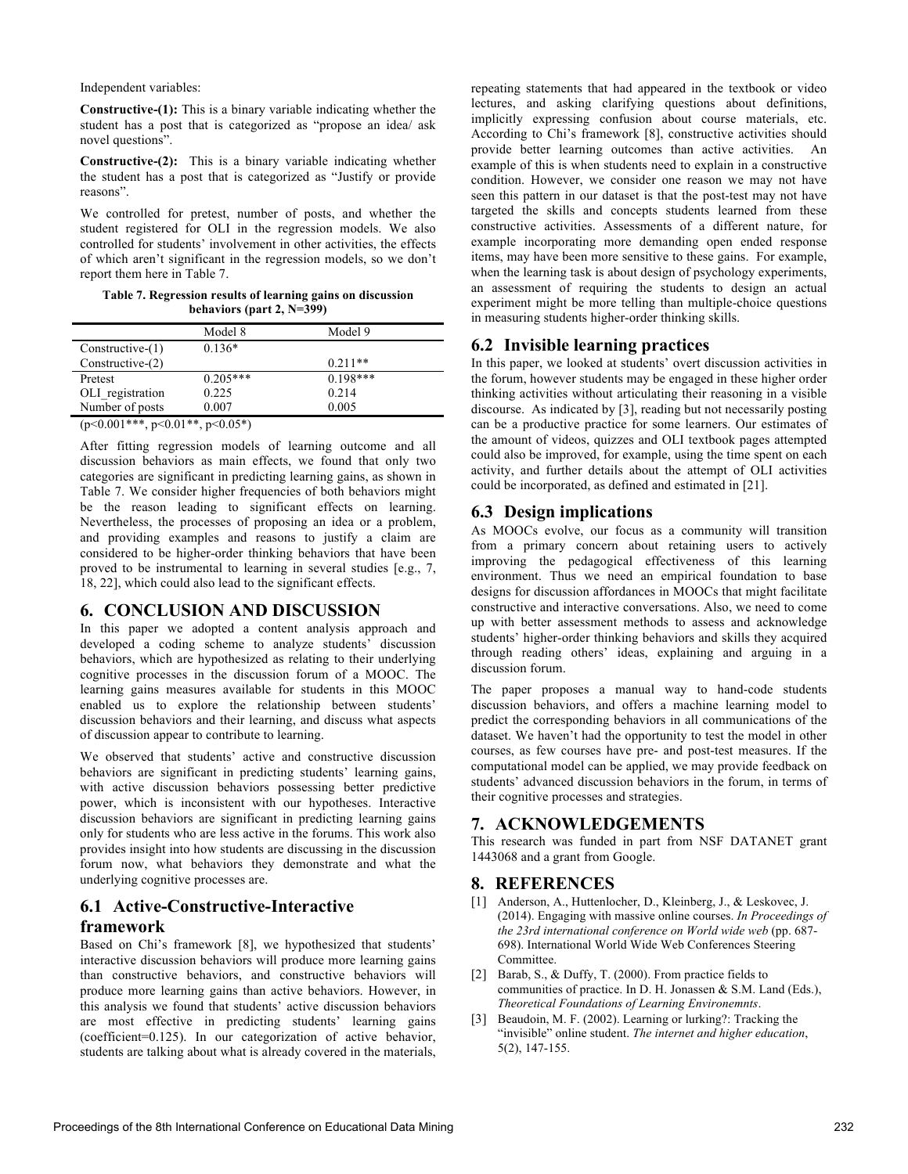#### Independent variables:

**Constructive-(1):** This is a binary variable indicating whether the student has a post that is categorized as "propose an idea/ ask novel questions".

**Constructive-(2):** This is a binary variable indicating whether the student has a post that is categorized as "Justify or provide reasons".

We controlled for pretest, number of posts, and whether the student registered for OLI in the regression models. We also controlled for students' involvement in other activities, the effects of which aren't significant in the regression models, so we don't report them here in Table 7.

**Table 7. Regression results of learning gains on discussion behaviors (part 2, N=399)**

|                    | Model 8    | Model 9    |  |
|--------------------|------------|------------|--|
| $Constructive-(1)$ | $0.136*$   |            |  |
| Constructive-(2)   |            | $0.211**$  |  |
| Pretest            | $0.205***$ | $0.198***$ |  |
| OLI_registration   | 0.225      | 0.214      |  |
| Number of posts    | 0.007      | 0.005      |  |

 $(p<0.001***, p<0.01**, p<0.05*)$ 

After fitting regression models of learning outcome and all discussion behaviors as main effects, we found that only two categories are significant in predicting learning gains, as shown in Table 7. We consider higher frequencies of both behaviors might be the reason leading to significant effects on learning. Nevertheless, the processes of proposing an idea or a problem, and providing examples and reasons to justify a claim are considered to be higher-order thinking behaviors that have been proved to be instrumental to learning in several studies [e.g., 7, 18, 22], which could also lead to the significant effects.

# **6. CONCLUSION AND DISCUSSION**

In this paper we adopted a content analysis approach and developed a coding scheme to analyze students' discussion behaviors, which are hypothesized as relating to their underlying cognitive processes in the discussion forum of a MOOC. The learning gains measures available for students in this MOOC enabled us to explore the relationship between students' discussion behaviors and their learning, and discuss what aspects of discussion appear to contribute to learning.

We observed that students' active and constructive discussion behaviors are significant in predicting students' learning gains, with active discussion behaviors possessing better predictive power, which is inconsistent with our hypotheses. Interactive discussion behaviors are significant in predicting learning gains only for students who are less active in the forums. This work also provides insight into how students are discussing in the discussion forum now, what behaviors they demonstrate and what the underlying cognitive processes are.

# **6.1 Active-Constructive-Interactive**

# **framework**

Based on Chi's framework [8], we hypothesized that students' interactive discussion behaviors will produce more learning gains than constructive behaviors, and constructive behaviors will produce more learning gains than active behaviors. However, in this analysis we found that students' active discussion behaviors are most effective in predicting students' learning gains (coefficient=0.125). In our categorization of active behavior, students are talking about what is already covered in the materials,

repeating statements that had appeared in the textbook or video lectures, and asking clarifying questions about definitions, implicitly expressing confusion about course materials, etc. According to Chi's framework [8], constructive activities should provide better learning outcomes than active activities. An example of this is when students need to explain in a constructive condition. However, we consider one reason we may not have seen this pattern in our dataset is that the post-test may not have targeted the skills and concepts students learned from these constructive activities. Assessments of a different nature, for example incorporating more demanding open ended response items, may have been more sensitive to these gains. For example, when the learning task is about design of psychology experiments, an assessment of requiring the students to design an actual experiment might be more telling than multiple-choice questions in measuring students higher-order thinking skills.

## **6.2 Invisible learning practices**

In this paper, we looked at students' overt discussion activities in the forum, however students may be engaged in these higher order thinking activities without articulating their reasoning in a visible discourse. As indicated by [3], reading but not necessarily posting can be a productive practice for some learners. Our estimates of the amount of videos, quizzes and OLI textbook pages attempted could also be improved, for example, using the time spent on each activity, and further details about the attempt of OLI activities could be incorporated, as defined and estimated in [21].

## **6.3 Design implications**

As MOOCs evolve, our focus as a community will transition from a primary concern about retaining users to actively improving the pedagogical effectiveness of this learning environment. Thus we need an empirical foundation to base designs for discussion affordances in MOOCs that might facilitate constructive and interactive conversations. Also, we need to come up with better assessment methods to assess and acknowledge students' higher-order thinking behaviors and skills they acquired through reading others' ideas, explaining and arguing in a discussion forum.

The paper proposes a manual way to hand-code students discussion behaviors, and offers a machine learning model to predict the corresponding behaviors in all communications of the dataset. We haven't had the opportunity to test the model in other courses, as few courses have pre- and post-test measures. If the computational model can be applied, we may provide feedback on students' advanced discussion behaviors in the forum, in terms of their cognitive processes and strategies.

# **7. ACKNOWLEDGEMENTS**

This research was funded in part from NSF DATANET grant 1443068 and a grant from Google.

## **8. REFERENCES**

- [1] Anderson, A., Huttenlocher, D., Kleinberg, J., & Leskovec, J. (2014). Engaging with massive online courses. *In Proceedings of the 23rd international conference on World wide web* (pp. 687- 698). International World Wide Web Conferences Steering **Committee**
- [2] Barab, S., & Duffy, T. (2000). From practice fields to communities of practice. In D. H. Jonassen & S.M. Land (Eds.), *Theoretical Foundations of Learning Environemnts*.
- [3] Beaudoin, M. F. (2002). Learning or lurking?: Tracking the "invisible" online student. *The internet and higher education*, 5(2), 147-155.